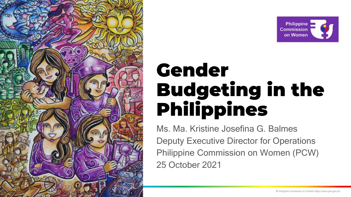



# Gender **Budgeting in the Philippines**

Ms. Ma. Kristine Josefina G. Balmes Deputy Executive Director for Operations Philippine Commission on Women (PCW) 25 October 2021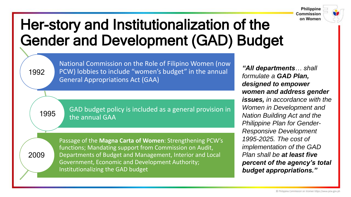

### Her-story and Institutionalization of the Gender and Development (GAD) Budget

1992

National Commission on the Role of Filipino Women (now PCW) lobbies to include "women's budget" in the annual General Appropriations Act (GAA)

1995

GAD budget policy is included as a general provision in the annual GAA

2009

Passage of the **Magna Carta of Women**: Strengthening PCW's functions; Mandating support from Commission on Audit, Departments of Budget and Management, Interior and Local Government, Economic and Development Authority; Institutionalizing the GAD budget

*"All departments… shall formulate a GAD Plan, designed to empower women and address gender issues, in accordance with the Women in Development and Nation Building Act and the Philippine Plan for Gender-Responsive Development 1995-2025. The cost of implementation of the GAD Plan shall be at least five percent of the agency's total budget appropriations."*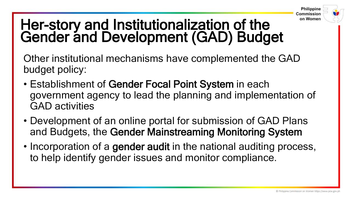

### Her-story and Institutionalization of the Gender and Development (GAD) Budget

Other institutional mechanisms have complemented the GAD budget policy:

- Establishment of Gender Focal Point System in each government agency to lead the planning and implementation of GAD activities
- Development of an online portal for submission of GAD Plans and Budgets, the Gender Mainstreaming Monitoring System
- Incorporation of a gender audit in the national auditing process, to help identify gender issues and monitor compliance.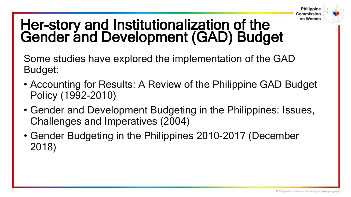

### Her-story and Institutionalization of the Gender and Development (GAD) Budget

Some studies have explored the implementation of the GAD Budget:

- Accounting for Results: A Review of the Philippine GAD Budget Policy (1992-2010)
- Gender and Development Budgeting in the Philippines: Issues, Challenges and Imperatives (2004)
- Gender Budgeting in the Philippines 2010-2017 (December 2018)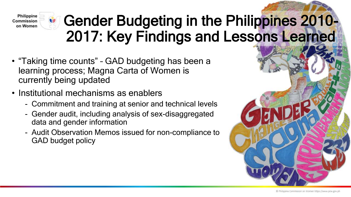

- "Taking time counts" GAD budgeting has been a learning process; Magna Carta of Women is currently being updated
- Institutional mechanisms as enablers
	- Commitment and training at senior and technical levels
	- Gender audit, including analysis of sex-disaggregated data and gender information
	- Audit Observation Memos issued for non-compliance to GAD budget policy

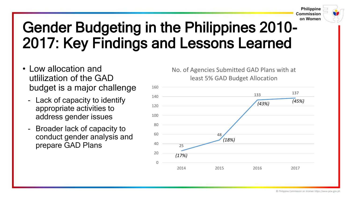

- Low allocation and utlilization of the GAD budget is a major challenge
	- Lack of capacity to identify appropriate activities to address gender issues
	- Broader lack of capacity to conduct gender analysis and prepare GAD Plans  $40 \frac{40}{25}$

No. of Agencies Submitted GAD Plans with at least 5% GAD Budget Allocation



@ Philippine Commission on Women https://www.pcw.gov.ph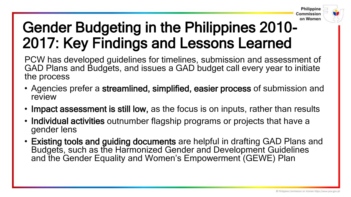

PCW has developed guidelines for timelines, submission and assessment of GAD Plans and Budgets, and issues a GAD budget call every year to initiate the process

- Agencies prefer a streamlined, simplified, easier process of submission and review
- Impact assessment is still low, as the focus is on inputs, rather than results
- Individual activities outnumber flagship programs or projects that have a gender lens
- Existing tools and guiding documents are helpful in drafting GAD Plans and Budgets, such as the Harmonized Gender and Development Guidelines and the Gender Equality and Women's Empowerment (GEWE) Plan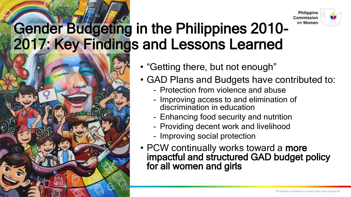



- "Getting there, but not enough"
- GAD Plans and Budgets have contributed to:
	- Protection from violence and abuse
	- Improving access to and elimination of discrimination in education
	- Enhancing food security and nutrition
	- Providing decent work and livelihood
	- Improving social protection
- PCW continually works toward a more impactful and structured GAD budget policy for all women and girls